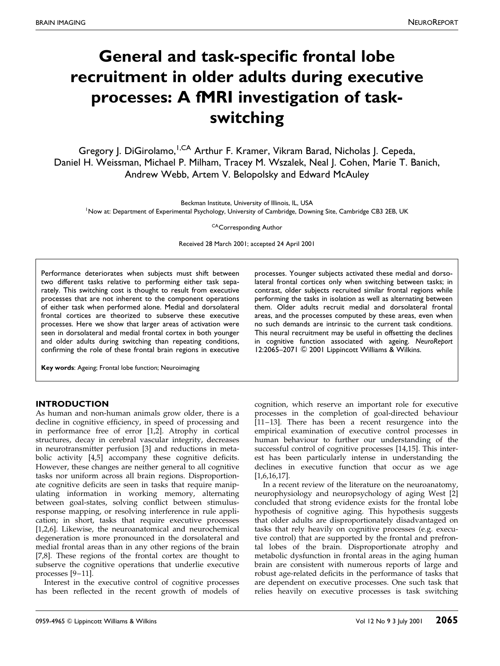# General and task-specific frontal lobe recruitment in older adults during executive processes: A fMRI investigation of taskswitching

Gregory J. DiGirolamo, <sup>I, CA</sup> Arthur F. Kramer, Vikram Barad, Nicholas J. Cepeda, Daniel H. Weissman, Michael P. Milham, Tracey M. Wszalek, Neal J. Cohen, Marie T. Banich, Andrew Webb, Artem V. Belopolsky and Edward McAuley

Beckman Institute, University of Illinois, IL, USA

<sup>1</sup>Now at: Department of Experimental Psychology, University of Cambridge, Downing Site, Cambridge CB3 2EB, UK

CACorresponding Author

Received 28 March 2001; accepted 24 April 2001

Performance deteriorates when subjects must shift between two different tasks relative to performing either task separately. This switching cost is thought to result from executive processes that are not inherent to the component operations of either task when performed alone. Medial and dorsolateral frontal cortices are theorized to subserve these executive processes. Here we show that larger areas of activation were seen in dorsolateral and medial frontal cortex in both younger and older adults during switching than repeating conditions, confirming the role of these frontal brain regions in executive

Key words: Ageing; Frontal lobe function; Neuroimaging

## INTRODUCTION

As human and non-human animals grow older, there is a decline in cognitive efficiency, in speed of processing and in performance free of error [\[1,2\]](#page-6-0). Atrophy in cortical structures, decay in cerebral vascular integrity, decreases in neurotransmitter perfusion [\[3\]](#page-6-0) and reductions in metabolic activity  $[4,5]$  accompany these cognitive deficits. However, these changes are neither general to all cognitive tasks nor uniform across all brain regions. Disproportionate cognitive deficits are seen in tasks that require manipulating information in working memory, alternating between goal-states, solving conflict between stimulusresponse mapping, or resolving interference in rule application; in short, tasks that require executive processes [\[1,2,6\].](#page-6-0) Likewise, the neuroanatomical and neurochemical degeneration is more pronounced in the dorsolateral and medial frontal areas than in any other regions of the brain [\[7,8\]](#page-6-0). These regions of the frontal cortex are thought to subserve the cognitive operations that underlie executive processes  $[9-11]$ .

Interest in the executive control of cognitive processes has been reflected in the recent growth of models of processes. Younger subjects activated these medial and dorsolateral frontal cortices only when switching between tasks; in contrast, older subjects recruited similar frontal regions while performing the tasks in isolation as well as alternating between them. Older adults recruit medial and dorsolateral frontal areas, and the processes computed by these areas, even when no such demands are intrinsic to the current task conditions. This neural recruitment may be useful in offsetting the declines in cognitive function associated with ageing. NeuroReport 12:2065-2071 © 2001 Lippincott Williams & Wilkins.

cognition, which reserve an important role for executive processes in the completion of goal-directed behaviour  $[11-13]$ . There has been a recent resurgence into the empirical examination of executive control processes in human behaviour to further our understanding of the successful control of cognitive processes [\[14,15\].](#page-6-0) This interest has been particularly intense in understanding the declines in executive function that occur as we age [\[1,6,16,17\].](#page-6-0)

In a recent review of the literature on the neuroanatomy, neurophysiology and neuropsychology of aging West [\[2\]](#page-6-0) concluded that strong evidence exists for the frontal lobe hypothesis of cognitive aging. This hypothesis suggests that older adults are disproportionately disadvantaged on tasks that rely heavily on cognitive processes (e.g. executive control) that are supported by the frontal and prefrontal lobes of the brain. Disproportionate atrophy and metabolic dysfunction in frontal areas in the aging human brain are consistent with numerous reports of large and robust age-related deficits in the performance of tasks that are dependent on executive processes. One such task that relies heavily on executive processes is task switching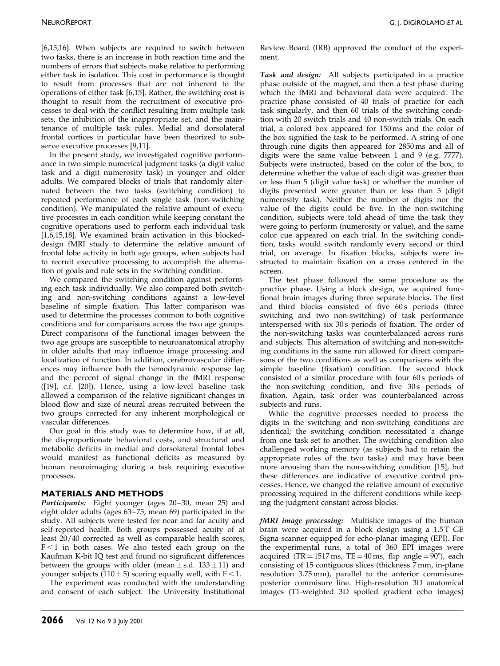[\[6,15,16\].](#page-6-0) When subjects are required to switch between two tasks, there is an increase in both reaction time and the numbers of errors that subjects make relative to performing either task in isolation. This cost in performance is thought to result from processes that are not inherent to the operations of either task [\[6,15\].](#page-6-0) Rather, the switching cost is thought to result from the recruitment of executive processes to deal with the conflict resulting from multiple task sets, the inhibition of the inappropriate set, and the maintenance of multiple task rules. Medial and dorsolateral frontal cortices in particular have been theorized to subserve executive processes [\[9,11\].](#page-6-0)

In the present study, we investigated cognitive performance in two simple numerical judgment tasks (a digit value task and a digit numerosity task) in younger and older adults. We compared blocks of trials that randomly alternated between the two tasks (switching condition) to repeated performance of each single task (non-switching condition). We manipulated the relative amount of executive processes in each condition while keeping constant the cognitive operations used to perform each individual task [\[1,6,15,18\].](#page-6-0) We examined brain activation in this blockeddesign fMRI study to determine the relative amount of frontal lobe activity in both age groups, when subjects had to recruit executive processing to accomplish the alternation of goals and rule sets in the switching condition.

We compared the switching condition against performing each task individually. We also compared both switching and non-switching conditions against a low-level baseline of simple fixation. This latter comparison was used to determine the processes common to both cognitive conditions and for comparisons across the two age groups. Direct comparisons of the functional images between the two age groups are susceptible to neuroanatomical atrophy in older adults that may influence image processing and localization of function. In addition, cerebrovascular differences may influence both the hemodynamic response lag and the percent of signal change in the fMRI response [\(\[19\],](#page-6-0) c.f. [\[20\]\)](#page-6-0). Hence, using a low-level baseline task allowed a comparison of the relative significant changes in blood flow and size of neural areas recruited between the two groups corrected for any inherent morphological or vascular differences.

Our goal in this study was to determine how, if at all, the disproportionate behavioral costs, and structural and metabolic deficits in medial and dorsolateral frontal lobes would manifest as functional deficits as measured by human neuroimaging during a task requiring executive processes.

# MATERIALS AND METHODS

Participants: Eight younger (ages 20-30, mean 25) and eight older adults (ages 63-75, mean 69) participated in the study. All subjects were tested for near and far acuity and self-reported health. Both groups possessed acuity of at least 20/40 corrected as well as comparable health scores,  $F < 1$  in both cases. We also tested each group on the Kaufman K-bit IQ test and found no significant differences between the groups with older (mean  $\pm$  s.d. 133  $\pm$  11) and younger subjects (110  $\pm$  5) scoring equally well, with F < 1.

The experiment was conducted with the understanding and consent of each subject. The University Institutional Review Board (IRB) approved the conduct of the experiment.

Task and design: All subjects participated in a practice phase outside of the magnet, and then a test phase during which the fMRI and behavioral data were acquired. The practice phase consisted of 40 trials of practice for each task singularly, and then 60 trials of the switching condition with 20 switch trials and 40 non-switch trials. On each trial, a colored box appeared for 150 ms and the color of the box signified the task to be performed. A string of one through nine digits then appeared for 2850 ms and all of digits were the same value between 1 and 9 (e.g. 7777). Subjects were instructed, based on the color of the box, to determine whether the value of each digit was greater than or less than 5 (digit value task) or whether the number of digits presented were greater than or less than 5 (digit numerosity task). Neither the number of digits nor the value of the digits could be five. In the non-switching condition, subjects were told ahead of time the task they were going to perform (numerosity or value), and the same color cue appeared on each trial. In the switching condition, tasks would switch randomly every second or third trial, on average. In fixation blocks, subjects were instructed to maintain fixation on a cross centered in the screen.

The test phase followed the same procedure as the practice phase. Using a block design, we acquired functional brain images during three separate blocks. The first and third blocks consisted of five 60s periods (three switching and two non-switching) of task performance interspersed with six 30 s periods of fixation. The order of the non-switching tasks was counterbalanced across runs and subjects. This alternation of switching and non-switching conditions in the same run allowed for direct comparisons of the two conditions as well as comparisons with the simple baseline (fixation) condition. The second block consisted of a similar procedure with four 60s periods of the non-switching condition, and five 30s periods of fixation. Again, task order was counterbalanced across subjects and runs.

While the cognitive processes needed to process the digits in the switching and non-switching conditions are identical; the switching condition necessitated a change from one task set to another. The switching condition also challenged working memory (as subjects had to retain the appropriate rules of the two tasks) and may have been more arousing than the non-switching condition [\[15\],](#page-6-0) but these differences are indicative of executive control processes. Hence, we changed the relative amount of executive processing required in the different conditions while keeping the judgment constant across blocks.

fMRI image processing: Multislice images of the human brain were acquired in a block design using a 1.5T GE Signa scanner equipped for echo-planar imaging (EPI). For the experimental runs, a total of 360 EPI images were acquired (TR =  $1517 \text{ ms}$ , TE =  $40 \text{ ms}$ , flip angle =  $90^{\circ}$ ), each consisting of 15 contiguous slices (thickness 7 mm, in-plane resolution 3.75 mm), parallel to the anterior commisureposterior commisure line. High-resolution 3D anatomical images (T1-weighted 3D spoiled gradient echo images)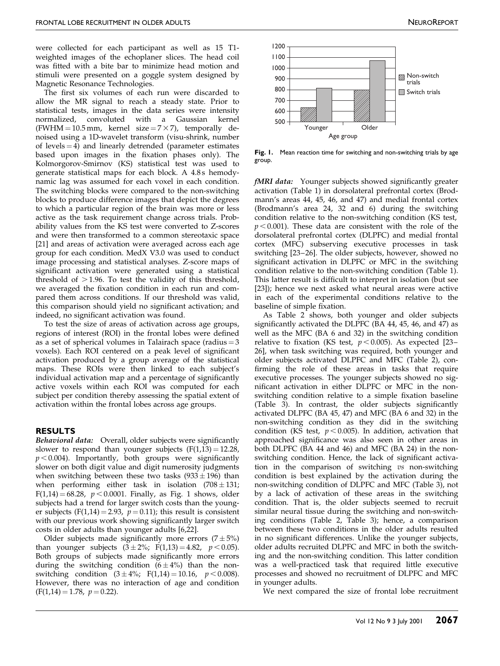were collected for each participant as well as 15 T1 weighted images of the echoplaner slices. The head coil was fitted with a bite bar to minimize head motion and stimuli were presented on a goggle system designed by Magnetic Resonance Technologies.

The first six volumes of each run were discarded to allow the MR signal to reach a steady state. Prior to statistical tests, images in the data series were intensity normalized, convoluted with a Gaussian kernel (FWHM = 10.5 mm, kernel size =  $7 \times 7$ ), temporally denoised using a 1D-wavelet transform (visu-shrink, number of levels  $=$  4) and linearly detrended (parameter estimates based upon images in the fixation phases only). The Kolmorgorov-Smirnov (KS) statistical test was used to generate statistical maps for each block. A 4.8 s hemodynamic lag was assumed for each voxel in each condition. The switching blocks were compared to the non-switching blocks to produce difference images that depict the degrees to which a particular region of the brain was more or less active as the task requirement change across trials. Probability values from the KS test were converted to Z-scores and were then transformed to a common stereotaxic space [\[21\]](#page-6-0) and areas of activation were averaged across each age group for each condition. MedX V3.0 was used to conduct image processing and statistical analyses. Z-score maps of significant activation were generated using a statistical threshold of  $>$  1.96. To test the validity of this threshold, we averaged the fixation condition in each run and compared them across conditions. If our threshold was valid, this comparison should yield no significant activation; and indeed, no significant activation was found.

To test the size of areas of activation across age groups, regions of interest (ROI) in the frontal lobes were defined as a set of spherical volumes in Talairach space (radius  $=$  3 voxels). Each ROI centered on a peak level of significant activation produced by a group average of the statistical maps. These ROIs were then linked to each subject's individual activation map and a percentage of significantly active voxels within each ROI was computed for each subject per condition thereby assessing the spatial extent of activation within the frontal lobes across age groups.

## RESULTS

Behavioral data: Overall, older subjects were significantly slower to respond than younger subjects  $(F(1,13) = 12.28)$ ,  $p < 0.004$ ). Importantly, both groups were significantly slower on both digit value and digit numerosity judgments when switching between these two tasks  $(933 \pm 196)$  than when performing either task in isolation  $(708 \pm 131)$ ;  $F(1,14) = 68.28$ ,  $p < 0.0001$ . Finally, as Fig. 1 shows, older subjects had a trend for larger switch costs than the younger subjects (F(1,14) = 2.93,  $p = 0.11$ ); this result is consistent with our previous work showing significantly larger switch  $costs$  in older adults than younger adults  $[6,22]$ .

Older subjects made significantly more errors  $(7 \pm 5\%)$ than younger subjects  $(3 \pm 2\%)$ ; F(1,13) = 4.82, p < 0.05). Both groups of subjects made significantly more errors during the switching condition  $(6 \pm 4\%)$  than the nonswitching condition  $(3 \pm 4\%)$ ; F(1,14) = 10.16, p < 0.008). However, there was no interaction of age and condition  $(F(1,14) = 1.78, p = 0.22).$ 



Fig. 1. Mean reaction time for switching and non-switching trials by age group.

fMRI data: Younger subjects showed significantly greater activation [\(Table 1\) in](#page-3-0) dorsolateral prefrontal cortex (Brodmann's areas 44, 45, 46, and 47) and medial frontal cortex (Brodmann's area 24, 32 and 6) during the switching condition relative to the non-switching condition (KS test,  $p < 0.001$ ). These data are consistent with the role of the dorsolateral prefrontal cortex (DLPFC) and medial frontal cortex (MFC) subserving executive processes in task switching [23–26]. The older subjects, however, showed no significant activation in DLPFC or MFC in the switching condition relative to the non-switching condition [\(Table 1\).](#page-3-0) This latter result is difficult to interpret in isolation (but see [\[23\]\)](#page-6-0); hence we next asked what neural areas were active in each of the experimental conditions relative to the baseline of simple fixation.

As [Table 2 s](#page-4-0)hows, both younger and older subjects significantly activated the DLPFC (BA 44, 45, 46, and 47) as well as the MFC (BA 6 and 32) in the switching condition relative to fixation (KS test,  $p < 0.005$ ). As expected [23– 26], when task switching was required, both younger and older subjects activated DLPFC and MFC [\(Table 2\),](#page-4-0) con firming the role of these areas in tasks that require executive processes. The younger subjects showed no significant activation in either DLPFC or MFC in the nonswitching condition relative to a simple fixation baseline [\(Table 3\).](#page-5-0) In contrast, the older subjects significantly activated DLPFC (BA 45, 47) and MFC (BA 6 and 32) in the non-switching condition as they did in the switching condition (KS test,  $p < 0.005$ ). In addition, activation that approached significance was also seen in other areas in both DLPFC (BA 44 and 46) and MFC (BA 24) in the nonswitching condition. Hence, the lack of significant activation in the comparison of switching  $\overline{vs}$  non-switching condition is best explained by the activation during the non-switching condition of DLPFC and MFC [\(Table 3\), n](#page-5-0)ot by a lack of activation of these areas in the switching condition. That is, the older subjects seemed to recruit similar neural tissue during the switching and non-switching conditions [\(Table 2,](#page-4-0) [Table 3\);](#page-5-0) hence, a comparison between these two conditions in the older adults resulted in no significant differences. Unlike the younger subjects, older adults recruited DLPFC and MFC in both the switching and the non-switching condition. This latter condition was a well-practiced task that required little executive processes and showed no recruitment of DLPFC and MFC in younger adults.

We next compared the size of frontal lobe recruitment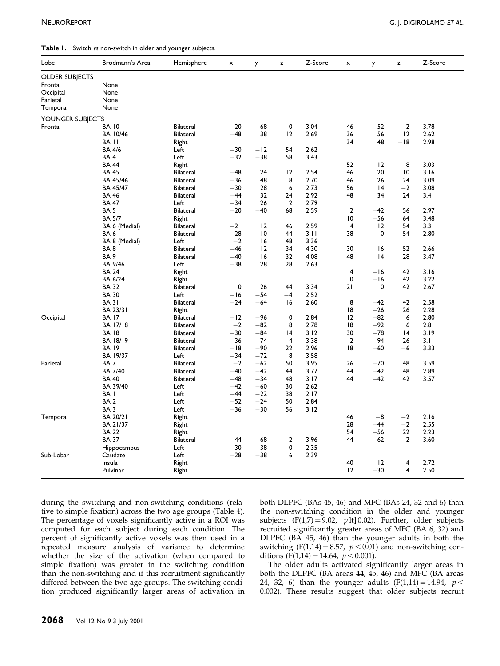#### <span id="page-3-0"></span>Table 1. Switch vs non-switch in older and younger subjects.

| Lobe                  | Brodmann's Area  | Hemisphere       | $\pmb{\times}$ | y              | z              | Z-Score | $\pmb{\times}$ | y           | z              | Z-Score |
|-----------------------|------------------|------------------|----------------|----------------|----------------|---------|----------------|-------------|----------------|---------|
| <b>OLDER SUBJECTS</b> |                  |                  |                |                |                |         |                |             |                |         |
| Frontal               | None             |                  |                |                |                |         |                |             |                |         |
| Occipital             | None             |                  |                |                |                |         |                |             |                |         |
| Parietal              | None             |                  |                |                |                |         |                |             |                |         |
| Temporal              | None             |                  |                |                |                |         |                |             |                |         |
| YOUNGER SUBJECTS      |                  |                  |                |                |                |         |                |             |                |         |
| Frontal               | <b>BA 10</b>     | <b>Bilateral</b> | $-20$          | 68             | 0              | 3.04    | 46             | 52          | $-2$           | 3.78    |
|                       | BA 10/46         | <b>Bilateral</b> | $-48$          | 38             | 12             | 2.69    | 36             | 56          | 12             | 2.62    |
|                       | BA <sub>II</sub> | Right            |                |                |                |         | 34             | 48          | $-18$          | 2.98    |
|                       | <b>BA 4/6</b>    | Left             | $-30$          | $-12$          | 54             | 2.62    |                |             |                |         |
|                       | BA4              | Left             | $-32$          | $-38$          | 58             | 3.43    |                |             |                |         |
|                       | <b>BA 44</b>     | Right            |                |                |                |         | 52             | 12          | 8              | 3.03    |
|                       | <b>BA 45</b>     | <b>Bilateral</b> | $-48$          | 24             | 12             | 2.54    | 46             | 20          | 10             | 3.16    |
|                       | BA 45/46         | <b>Bilateral</b> | $-36$          | 48             | 8              | 2.70    | 46             | 26          | 24             | 3.09    |
|                       | <b>BA 45/47</b>  | <b>Bilateral</b> | $-30$          | 28             | 6              | 2.73    | 56             | 4           | $-2$           | 3.08    |
|                       | <b>BA 46</b>     | Bilateral        | $-44$          | 32             | 24             | 2.92    | 48             | 34          | 24             | 3.41    |
|                       | <b>BA 47</b>     | Left             | $-34$          | 26             | $\overline{2}$ | 2.79    |                |             |                |         |
|                       | BA <sub>5</sub>  | <b>Bilateral</b> | $-20$          | $-40$          | 68             | 2.59    | $\mathbf{2}$   | $-42$       | 56             | 2.97    |
|                       | <b>BA 5/7</b>    | Right            |                |                |                |         | 10             | $-56$       | 64             | 3.48    |
|                       | BA 6 (Medial)    | <b>Bilateral</b> | $-2$           | 12             | 46             | 2.59    | 4              | 12          | 54             | 3.31    |
|                       | BA <sub>6</sub>  | <b>Bilateral</b> | $-28$          | $\overline{0}$ | 44             | 3.11    | 38             | $\mathbf 0$ | 54             | 2.80    |
|                       | BA 8 (Medial)    | Left             | $-2$           | 16             | 48             | 3.36    |                |             |                |         |
|                       | BA8              | <b>Bilateral</b> | $-46$          | 12             | 34             | 4.30    | 30             | 16          | 52             | 2.66    |
|                       | BA <sub>9</sub>  | <b>Bilateral</b> | $-40$          | 16             | 32             | 4.08    | 48             | 4           | 28             | 3.47    |
|                       | BA 9/46          | Left             | $-38$          | 28             | 28             | 2.63    |                |             |                |         |
|                       | <b>BA 24</b>     | Right            |                |                |                |         | 4              | $-16$       | 42             | 3.16    |
|                       | <b>BA 6/24</b>   | Right            |                |                |                |         | 0              | $-16$       | 42             | 3.22    |
|                       | <b>BA 32</b>     | Bilateral        | 0              | 26             | 44             | 3.34    | 21             | 0           | 42             | 2.67    |
|                       | <b>BA 30</b>     | Left             | $-16$          | $-54$          | $-4$           | 2.52    |                |             |                |         |
|                       | <b>BA31</b>      | <b>Bilateral</b> | $-24$          | $-64$          | 16             | 2.60    | 8              | $-42$       | 42             | 2.58    |
|                       | BA 23/31         | Right            |                |                |                |         | 18             | $-26$       | 26             | 2.28    |
| Occipital             | <b>BA 17</b>     | <b>Bilateral</b> | $-12$          | $-96$          | 0              | 2.84    | 12             | $-82$       | 6              | 2.80    |
|                       | <b>BA 17/18</b>  | <b>Bilateral</b> | $-2$           | $-82$          | 8              | 2.78    | 8              | $-92$       | 6              | 2.81    |
|                       | <b>BA18</b>      | <b>Bilateral</b> | $-30$          | $-84$          | 4              | 3.12    | 30             | $-78$       | 4              | 3.19    |
|                       | <b>BA 18/19</b>  | <b>Bilateral</b> | $-36$          | $-74$          | 4              | 3.38    | $\overline{2}$ | $-94$       | 26             | 3.11    |
|                       | <b>BA 19</b>     | <b>Bilateral</b> | $-18$          | $-90$          | 22             | 2.96    | 8              | $-60$       | -6             | 3.33    |
|                       | BA 19/37         | Left             | $-34$          | $-72$          | 8              | 3.58    |                |             |                |         |
| Parietal              | BA <sub>7</sub>  | <b>Bilateral</b> | $-2$           | $-62$          | 50             | 3.95    | 26             | $-70$       | 48             | 3.59    |
|                       | <b>BA 7/40</b>   | <b>Bilateral</b> | $-40$          | $-42$          | 44             | 3.77    | 44             | $-42$       | 48             | 2.89    |
|                       | <b>BA 40</b>     | <b>Bilateral</b> | $-48$          | $-34$          | 48             | 3.17    | 44             | $-42$       | 42             | 3.57    |
|                       | BA 39/40         | Left             | $-42$          | $-60$          | 30             | 2.62    |                |             |                |         |
|                       | BA <sub>I</sub>  | Left             | $-44$          | $-22$          | 38             | 2.17    |                |             |                |         |
|                       | BA <sub>2</sub>  | Left             | $-52$          | $-24$          | 50             | 2.84    |                |             |                |         |
|                       | BA <sub>3</sub>  | Left             | $-36$          | $-30$          | 56             | 3.12    |                |             |                |         |
| Temporal              | <b>BA 20/21</b>  | Right            |                |                |                |         | 46             | $-8$        | $-2$           | 2.16    |
|                       | BA 21/37         | Right            |                |                |                |         | 28             | $-44$       | $-2$           | 2.55    |
|                       | <b>BA 22</b>     | Right            |                |                |                |         | 54             | $-56$       | 22             | 2.23    |
|                       | <b>BA 37</b>     | Bilateral        | $-44$          | $-68$          | $^{-2}$        | 3.96    | 44             | $-62$       | $-2$           | 3.60    |
|                       | Hippocampus      | Left             | $-30$          | $-38$          | 0              | 2.35    |                |             |                |         |
| Sub-Lobar             | Caudate          | Left             | $-28$          | $-38$          | 6              | 2.39    |                |             |                |         |
|                       | Insula           | Right            |                |                |                |         | 40             | 12          | 4              | 2.72    |
|                       | Pulvinar         | Right            |                |                |                |         | 12             | $-30$       | $\overline{4}$ | 2.50    |

during the switching and non-switching conditions (rela-tive to simple fixation) across the two age groups [\(Table 4\).](#page-5-0) The percentage of voxels significantly active in a ROI was computed for each subject during each condition. The percent of significantly active voxels was then used in a repeated measure analysis of variance to determine whether the size of the activation (when compared to simple fixation) was greater in the switching condition than the non-switching and if this recruitment significantly differed between the two age groups. The switching condition produced significantly larger areas of activation in both DLPFC (BAs 45, 46) and MFC (BAs 24, 32 and 6) than the non-switching condition in the older and younger subjects  $(F(1,7) = 9.02, plt] 0.02)$ . Further, older subjects recruited significantly greater areas of MFC (BA 6, 32) and DLPFC (BA 45, 46) than the younger adults in both the switching (F(1,14) = 8.57,  $p < 0.01$ ) and non-switching conditions ( $\bar{F}(1,14) = 14.64$ ,  $p < 0.001$ ).

The older adults activated significantly larger areas in both the DLPFC (BA areas 44, 45, 46) and MFC (BA areas 24, 32, 6) than the younger adults  $(F(1,14) = 14.94, p <$ 0.002). These results suggest that older subjects recruit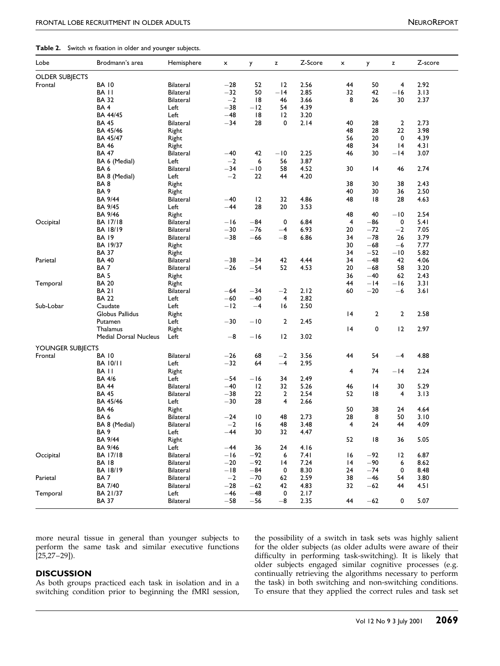### <span id="page-4-0"></span>Table 2. Switch vs fixation in older and younger subjects.

| <b>OLDER SUBJECTS</b><br><b>BA 10</b><br>52<br>2.56<br>50<br>$\overline{4}$<br>2.92<br>Frontal<br><b>Bilateral</b><br>$-28$<br>12<br>44<br>50<br>$-14$<br>2.85<br>32<br>42<br>$-16$<br>3.13<br>BA II<br><b>Bilateral</b><br>$-32$<br><b>BA 32</b><br>$-2$<br> 8<br>8<br>26<br>30<br>2.37<br><b>Bilateral</b><br>46<br>3.66<br>BA 4<br>Left<br>$-38$<br>$-12$<br>54<br>4.39<br>$-48$<br>18<br>BA 44/45<br>Left<br>12<br>3.20<br>28<br>$\overline{2}$<br>2.73<br><b>BA 45</b><br><b>Bilateral</b><br>$-34$<br>28<br>0<br>2.14<br>40<br>BA 45/46<br>48<br>28<br>22<br>3.98<br>Right<br>BA 45/47<br>Right<br>56<br>20<br>0<br>4.39<br>48<br><b>BA 46</b><br>34<br> 4<br>4.3 I<br>Right<br>42<br>$-10$<br>2.25<br><b>BA 47</b><br><b>Bilateral</b><br>$-40$<br>46<br>30<br>$-14$<br>3.07<br>$-2$<br>6<br>BA 6 (Medial)<br>Left<br>56<br>3.87<br>2.74<br>BA 6<br><b>Bilateral</b><br>$-34$<br>$-10$<br>58<br>4.52<br>30<br>14<br>46<br>$-2$<br>22<br>4.20<br>BA 8 (Medial)<br>Left<br>44<br>38<br>BA8<br>Right<br>30<br>38<br>2.43<br>BA <sub>9</sub><br>40<br>36<br>2.50<br>Right<br>30<br>12<br>32<br>4.86<br>BA 9/44<br>Bilateral<br>$-40$<br>48<br>18<br>28<br>4.63<br>28<br>20<br>BA 9/45<br>Left<br>$-44$<br>3.53<br>48<br>40<br>$-10$<br>2.54<br>BA 9/46<br>Right<br>$-84$<br>0<br>6.84<br>$\overline{4}$<br>$-86$<br>0<br>5.41<br>Occipital<br><b>Bilateral</b><br>$-16$<br>BA 17/18<br>$-76$<br>$-4$<br>6.93<br><b>BA 18/19</b><br><b>Bilateral</b><br>$-30$<br>20<br>$-72$<br>$^{-2}$<br>7.05<br>$-8$<br>$-38$<br>$-66$<br>34<br>$-78$<br>3.79<br><b>BA 19</b><br><b>Bilateral</b><br>6.86<br>26<br>7.77<br>BA 19/37<br>30<br>$-68$<br>$-6$<br>Right<br>$-52$<br><b>BA 37</b><br>34<br>$-10$<br>5.82<br>Right<br>42<br>34<br>Parietal<br><b>BA 40</b><br>$-38$<br>$-34$<br>4.44<br>$-48$<br>42<br>4.06<br>Bilateral<br>$-26$<br>$-54$<br>52<br>4.53<br>20<br>58<br>BA 7<br><b>Bilateral</b><br>$-68$<br>3.20<br>BA <sub>5</sub><br>36<br>$-40$<br>62<br>2.43<br>Right<br>44<br>$-14$<br>3.31<br>Temporal<br><b>BA 20</b><br>$-16$<br>Right<br>2.12<br>$-20$<br><b>BA 21</b><br>$-64$<br>$-34$<br>$^{-2}$<br>60<br>$-6$<br>3.6 I<br><b>Bilateral</b><br><b>BA 22</b><br>$-60$<br>$-40$<br>$\overline{\mathbf{4}}$<br>2.82<br>Left<br>$-12$<br>$-4$<br>2.50<br>Sub-Lobar<br>Caudate<br>Left<br>16<br>Globus Pallidus<br> 4<br>2<br>$\overline{2}$<br>2.58<br>Right<br>$-30$<br>$-10$<br>$\overline{2}$<br>2.45<br>Putamen<br>Left<br> 4<br>0<br>12<br>2.97<br>Thalamus<br>Right<br>$-8$<br>$-16$<br>12<br>3.02<br><b>Medial Dorsal Nucleus</b><br>Left<br>YOUNGER SUBJECTS<br>Frontal<br><b>BA 10</b><br>68<br>$-2$<br>3.56<br>44<br>54<br>4.88<br><b>Bilateral</b><br>$-26$<br>$-4$<br>$-32$<br>64<br>$-4$<br>2.95<br><b>BA 10/11</b><br>Left<br>2.24<br>BA II<br>4<br>74<br>$-14$<br>Right<br>2.49<br><b>BA 4/6</b><br>Left<br>$-54$<br>$-16$<br>34<br>12<br>32<br>5.26<br>30<br>5.29<br><b>BA 44</b><br><b>Bilateral</b><br>$-40$<br>46<br>14<br>22<br>$\mathbf{2}$<br>2.54<br>52<br><b>BA 45</b><br><b>Bilateral</b><br>$-38$<br>18<br>4<br>3.13<br>BA 45/46<br>$-30$<br>28<br>Left<br>4<br>2.66<br>50<br>38<br>4.64<br><b>BA 46</b><br>Right<br>24<br>48<br>2.73<br>28<br>50<br>BA 6<br><b>Bilateral</b><br>$-24$<br>10<br>8<br>3.10<br>BA 8 (Medial)<br><b>Bilateral</b><br>$-2$<br>16<br>48<br>3.48<br>4<br>24<br>44<br>4.09<br>$-44$<br>30<br>32<br>BA <sub>9</sub><br>Left<br>4.47<br><b>BA 9/44</b><br>Right<br>52<br>18<br>36<br>5.05 | Lobe | Brodmann's area | Hemisphere | x     | y  | z  | Z-Score | x | y | z | Z-score |
|----------------------------------------------------------------------------------------------------------------------------------------------------------------------------------------------------------------------------------------------------------------------------------------------------------------------------------------------------------------------------------------------------------------------------------------------------------------------------------------------------------------------------------------------------------------------------------------------------------------------------------------------------------------------------------------------------------------------------------------------------------------------------------------------------------------------------------------------------------------------------------------------------------------------------------------------------------------------------------------------------------------------------------------------------------------------------------------------------------------------------------------------------------------------------------------------------------------------------------------------------------------------------------------------------------------------------------------------------------------------------------------------------------------------------------------------------------------------------------------------------------------------------------------------------------------------------------------------------------------------------------------------------------------------------------------------------------------------------------------------------------------------------------------------------------------------------------------------------------------------------------------------------------------------------------------------------------------------------------------------------------------------------------------------------------------------------------------------------------------------------------------------------------------------------------------------------------------------------------------------------------------------------------------------------------------------------------------------------------------------------------------------------------------------------------------------------------------------------------------------------------------------------------------------------------------------------------------------------------------------------------------------------------------------------------------------------------------------------------------------------------------------------------------------------------------------------------------------------------------------------------------------------------------------------------------------------------------------------------------------------------------------------------------------------------------------------------------------------------------------------------------------------------------------------------------------------------------------------------------------------------------------------------------------------------------------------------------------------------------------------------------------------------------------------------------------------|------|-----------------|------------|-------|----|----|---------|---|---|---|---------|
|                                                                                                                                                                                                                                                                                                                                                                                                                                                                                                                                                                                                                                                                                                                                                                                                                                                                                                                                                                                                                                                                                                                                                                                                                                                                                                                                                                                                                                                                                                                                                                                                                                                                                                                                                                                                                                                                                                                                                                                                                                                                                                                                                                                                                                                                                                                                                                                                                                                                                                                                                                                                                                                                                                                                                                                                                                                                                                                                                                                                                                                                                                                                                                                                                                                                                                                                                                                                                                                    |      |                 |            |       |    |    |         |   |   |   |         |
|                                                                                                                                                                                                                                                                                                                                                                                                                                                                                                                                                                                                                                                                                                                                                                                                                                                                                                                                                                                                                                                                                                                                                                                                                                                                                                                                                                                                                                                                                                                                                                                                                                                                                                                                                                                                                                                                                                                                                                                                                                                                                                                                                                                                                                                                                                                                                                                                                                                                                                                                                                                                                                                                                                                                                                                                                                                                                                                                                                                                                                                                                                                                                                                                                                                                                                                                                                                                                                                    |      |                 |            |       |    |    |         |   |   |   |         |
|                                                                                                                                                                                                                                                                                                                                                                                                                                                                                                                                                                                                                                                                                                                                                                                                                                                                                                                                                                                                                                                                                                                                                                                                                                                                                                                                                                                                                                                                                                                                                                                                                                                                                                                                                                                                                                                                                                                                                                                                                                                                                                                                                                                                                                                                                                                                                                                                                                                                                                                                                                                                                                                                                                                                                                                                                                                                                                                                                                                                                                                                                                                                                                                                                                                                                                                                                                                                                                                    |      |                 |            |       |    |    |         |   |   |   |         |
|                                                                                                                                                                                                                                                                                                                                                                                                                                                                                                                                                                                                                                                                                                                                                                                                                                                                                                                                                                                                                                                                                                                                                                                                                                                                                                                                                                                                                                                                                                                                                                                                                                                                                                                                                                                                                                                                                                                                                                                                                                                                                                                                                                                                                                                                                                                                                                                                                                                                                                                                                                                                                                                                                                                                                                                                                                                                                                                                                                                                                                                                                                                                                                                                                                                                                                                                                                                                                                                    |      |                 |            |       |    |    |         |   |   |   |         |
|                                                                                                                                                                                                                                                                                                                                                                                                                                                                                                                                                                                                                                                                                                                                                                                                                                                                                                                                                                                                                                                                                                                                                                                                                                                                                                                                                                                                                                                                                                                                                                                                                                                                                                                                                                                                                                                                                                                                                                                                                                                                                                                                                                                                                                                                                                                                                                                                                                                                                                                                                                                                                                                                                                                                                                                                                                                                                                                                                                                                                                                                                                                                                                                                                                                                                                                                                                                                                                                    |      |                 |            |       |    |    |         |   |   |   |         |
|                                                                                                                                                                                                                                                                                                                                                                                                                                                                                                                                                                                                                                                                                                                                                                                                                                                                                                                                                                                                                                                                                                                                                                                                                                                                                                                                                                                                                                                                                                                                                                                                                                                                                                                                                                                                                                                                                                                                                                                                                                                                                                                                                                                                                                                                                                                                                                                                                                                                                                                                                                                                                                                                                                                                                                                                                                                                                                                                                                                                                                                                                                                                                                                                                                                                                                                                                                                                                                                    |      |                 |            |       |    |    |         |   |   |   |         |
|                                                                                                                                                                                                                                                                                                                                                                                                                                                                                                                                                                                                                                                                                                                                                                                                                                                                                                                                                                                                                                                                                                                                                                                                                                                                                                                                                                                                                                                                                                                                                                                                                                                                                                                                                                                                                                                                                                                                                                                                                                                                                                                                                                                                                                                                                                                                                                                                                                                                                                                                                                                                                                                                                                                                                                                                                                                                                                                                                                                                                                                                                                                                                                                                                                                                                                                                                                                                                                                    |      |                 |            |       |    |    |         |   |   |   |         |
|                                                                                                                                                                                                                                                                                                                                                                                                                                                                                                                                                                                                                                                                                                                                                                                                                                                                                                                                                                                                                                                                                                                                                                                                                                                                                                                                                                                                                                                                                                                                                                                                                                                                                                                                                                                                                                                                                                                                                                                                                                                                                                                                                                                                                                                                                                                                                                                                                                                                                                                                                                                                                                                                                                                                                                                                                                                                                                                                                                                                                                                                                                                                                                                                                                                                                                                                                                                                                                                    |      |                 |            |       |    |    |         |   |   |   |         |
|                                                                                                                                                                                                                                                                                                                                                                                                                                                                                                                                                                                                                                                                                                                                                                                                                                                                                                                                                                                                                                                                                                                                                                                                                                                                                                                                                                                                                                                                                                                                                                                                                                                                                                                                                                                                                                                                                                                                                                                                                                                                                                                                                                                                                                                                                                                                                                                                                                                                                                                                                                                                                                                                                                                                                                                                                                                                                                                                                                                                                                                                                                                                                                                                                                                                                                                                                                                                                                                    |      |                 |            |       |    |    |         |   |   |   |         |
|                                                                                                                                                                                                                                                                                                                                                                                                                                                                                                                                                                                                                                                                                                                                                                                                                                                                                                                                                                                                                                                                                                                                                                                                                                                                                                                                                                                                                                                                                                                                                                                                                                                                                                                                                                                                                                                                                                                                                                                                                                                                                                                                                                                                                                                                                                                                                                                                                                                                                                                                                                                                                                                                                                                                                                                                                                                                                                                                                                                                                                                                                                                                                                                                                                                                                                                                                                                                                                                    |      |                 |            |       |    |    |         |   |   |   |         |
|                                                                                                                                                                                                                                                                                                                                                                                                                                                                                                                                                                                                                                                                                                                                                                                                                                                                                                                                                                                                                                                                                                                                                                                                                                                                                                                                                                                                                                                                                                                                                                                                                                                                                                                                                                                                                                                                                                                                                                                                                                                                                                                                                                                                                                                                                                                                                                                                                                                                                                                                                                                                                                                                                                                                                                                                                                                                                                                                                                                                                                                                                                                                                                                                                                                                                                                                                                                                                                                    |      |                 |            |       |    |    |         |   |   |   |         |
|                                                                                                                                                                                                                                                                                                                                                                                                                                                                                                                                                                                                                                                                                                                                                                                                                                                                                                                                                                                                                                                                                                                                                                                                                                                                                                                                                                                                                                                                                                                                                                                                                                                                                                                                                                                                                                                                                                                                                                                                                                                                                                                                                                                                                                                                                                                                                                                                                                                                                                                                                                                                                                                                                                                                                                                                                                                                                                                                                                                                                                                                                                                                                                                                                                                                                                                                                                                                                                                    |      |                 |            |       |    |    |         |   |   |   |         |
|                                                                                                                                                                                                                                                                                                                                                                                                                                                                                                                                                                                                                                                                                                                                                                                                                                                                                                                                                                                                                                                                                                                                                                                                                                                                                                                                                                                                                                                                                                                                                                                                                                                                                                                                                                                                                                                                                                                                                                                                                                                                                                                                                                                                                                                                                                                                                                                                                                                                                                                                                                                                                                                                                                                                                                                                                                                                                                                                                                                                                                                                                                                                                                                                                                                                                                                                                                                                                                                    |      |                 |            |       |    |    |         |   |   |   |         |
|                                                                                                                                                                                                                                                                                                                                                                                                                                                                                                                                                                                                                                                                                                                                                                                                                                                                                                                                                                                                                                                                                                                                                                                                                                                                                                                                                                                                                                                                                                                                                                                                                                                                                                                                                                                                                                                                                                                                                                                                                                                                                                                                                                                                                                                                                                                                                                                                                                                                                                                                                                                                                                                                                                                                                                                                                                                                                                                                                                                                                                                                                                                                                                                                                                                                                                                                                                                                                                                    |      |                 |            |       |    |    |         |   |   |   |         |
|                                                                                                                                                                                                                                                                                                                                                                                                                                                                                                                                                                                                                                                                                                                                                                                                                                                                                                                                                                                                                                                                                                                                                                                                                                                                                                                                                                                                                                                                                                                                                                                                                                                                                                                                                                                                                                                                                                                                                                                                                                                                                                                                                                                                                                                                                                                                                                                                                                                                                                                                                                                                                                                                                                                                                                                                                                                                                                                                                                                                                                                                                                                                                                                                                                                                                                                                                                                                                                                    |      |                 |            |       |    |    |         |   |   |   |         |
|                                                                                                                                                                                                                                                                                                                                                                                                                                                                                                                                                                                                                                                                                                                                                                                                                                                                                                                                                                                                                                                                                                                                                                                                                                                                                                                                                                                                                                                                                                                                                                                                                                                                                                                                                                                                                                                                                                                                                                                                                                                                                                                                                                                                                                                                                                                                                                                                                                                                                                                                                                                                                                                                                                                                                                                                                                                                                                                                                                                                                                                                                                                                                                                                                                                                                                                                                                                                                                                    |      |                 |            |       |    |    |         |   |   |   |         |
|                                                                                                                                                                                                                                                                                                                                                                                                                                                                                                                                                                                                                                                                                                                                                                                                                                                                                                                                                                                                                                                                                                                                                                                                                                                                                                                                                                                                                                                                                                                                                                                                                                                                                                                                                                                                                                                                                                                                                                                                                                                                                                                                                                                                                                                                                                                                                                                                                                                                                                                                                                                                                                                                                                                                                                                                                                                                                                                                                                                                                                                                                                                                                                                                                                                                                                                                                                                                                                                    |      |                 |            |       |    |    |         |   |   |   |         |
|                                                                                                                                                                                                                                                                                                                                                                                                                                                                                                                                                                                                                                                                                                                                                                                                                                                                                                                                                                                                                                                                                                                                                                                                                                                                                                                                                                                                                                                                                                                                                                                                                                                                                                                                                                                                                                                                                                                                                                                                                                                                                                                                                                                                                                                                                                                                                                                                                                                                                                                                                                                                                                                                                                                                                                                                                                                                                                                                                                                                                                                                                                                                                                                                                                                                                                                                                                                                                                                    |      |                 |            |       |    |    |         |   |   |   |         |
|                                                                                                                                                                                                                                                                                                                                                                                                                                                                                                                                                                                                                                                                                                                                                                                                                                                                                                                                                                                                                                                                                                                                                                                                                                                                                                                                                                                                                                                                                                                                                                                                                                                                                                                                                                                                                                                                                                                                                                                                                                                                                                                                                                                                                                                                                                                                                                                                                                                                                                                                                                                                                                                                                                                                                                                                                                                                                                                                                                                                                                                                                                                                                                                                                                                                                                                                                                                                                                                    |      |                 |            |       |    |    |         |   |   |   |         |
|                                                                                                                                                                                                                                                                                                                                                                                                                                                                                                                                                                                                                                                                                                                                                                                                                                                                                                                                                                                                                                                                                                                                                                                                                                                                                                                                                                                                                                                                                                                                                                                                                                                                                                                                                                                                                                                                                                                                                                                                                                                                                                                                                                                                                                                                                                                                                                                                                                                                                                                                                                                                                                                                                                                                                                                                                                                                                                                                                                                                                                                                                                                                                                                                                                                                                                                                                                                                                                                    |      |                 |            |       |    |    |         |   |   |   |         |
|                                                                                                                                                                                                                                                                                                                                                                                                                                                                                                                                                                                                                                                                                                                                                                                                                                                                                                                                                                                                                                                                                                                                                                                                                                                                                                                                                                                                                                                                                                                                                                                                                                                                                                                                                                                                                                                                                                                                                                                                                                                                                                                                                                                                                                                                                                                                                                                                                                                                                                                                                                                                                                                                                                                                                                                                                                                                                                                                                                                                                                                                                                                                                                                                                                                                                                                                                                                                                                                    |      |                 |            |       |    |    |         |   |   |   |         |
|                                                                                                                                                                                                                                                                                                                                                                                                                                                                                                                                                                                                                                                                                                                                                                                                                                                                                                                                                                                                                                                                                                                                                                                                                                                                                                                                                                                                                                                                                                                                                                                                                                                                                                                                                                                                                                                                                                                                                                                                                                                                                                                                                                                                                                                                                                                                                                                                                                                                                                                                                                                                                                                                                                                                                                                                                                                                                                                                                                                                                                                                                                                                                                                                                                                                                                                                                                                                                                                    |      |                 |            |       |    |    |         |   |   |   |         |
|                                                                                                                                                                                                                                                                                                                                                                                                                                                                                                                                                                                                                                                                                                                                                                                                                                                                                                                                                                                                                                                                                                                                                                                                                                                                                                                                                                                                                                                                                                                                                                                                                                                                                                                                                                                                                                                                                                                                                                                                                                                                                                                                                                                                                                                                                                                                                                                                                                                                                                                                                                                                                                                                                                                                                                                                                                                                                                                                                                                                                                                                                                                                                                                                                                                                                                                                                                                                                                                    |      |                 |            |       |    |    |         |   |   |   |         |
|                                                                                                                                                                                                                                                                                                                                                                                                                                                                                                                                                                                                                                                                                                                                                                                                                                                                                                                                                                                                                                                                                                                                                                                                                                                                                                                                                                                                                                                                                                                                                                                                                                                                                                                                                                                                                                                                                                                                                                                                                                                                                                                                                                                                                                                                                                                                                                                                                                                                                                                                                                                                                                                                                                                                                                                                                                                                                                                                                                                                                                                                                                                                                                                                                                                                                                                                                                                                                                                    |      |                 |            |       |    |    |         |   |   |   |         |
|                                                                                                                                                                                                                                                                                                                                                                                                                                                                                                                                                                                                                                                                                                                                                                                                                                                                                                                                                                                                                                                                                                                                                                                                                                                                                                                                                                                                                                                                                                                                                                                                                                                                                                                                                                                                                                                                                                                                                                                                                                                                                                                                                                                                                                                                                                                                                                                                                                                                                                                                                                                                                                                                                                                                                                                                                                                                                                                                                                                                                                                                                                                                                                                                                                                                                                                                                                                                                                                    |      |                 |            |       |    |    |         |   |   |   |         |
|                                                                                                                                                                                                                                                                                                                                                                                                                                                                                                                                                                                                                                                                                                                                                                                                                                                                                                                                                                                                                                                                                                                                                                                                                                                                                                                                                                                                                                                                                                                                                                                                                                                                                                                                                                                                                                                                                                                                                                                                                                                                                                                                                                                                                                                                                                                                                                                                                                                                                                                                                                                                                                                                                                                                                                                                                                                                                                                                                                                                                                                                                                                                                                                                                                                                                                                                                                                                                                                    |      |                 |            |       |    |    |         |   |   |   |         |
|                                                                                                                                                                                                                                                                                                                                                                                                                                                                                                                                                                                                                                                                                                                                                                                                                                                                                                                                                                                                                                                                                                                                                                                                                                                                                                                                                                                                                                                                                                                                                                                                                                                                                                                                                                                                                                                                                                                                                                                                                                                                                                                                                                                                                                                                                                                                                                                                                                                                                                                                                                                                                                                                                                                                                                                                                                                                                                                                                                                                                                                                                                                                                                                                                                                                                                                                                                                                                                                    |      |                 |            |       |    |    |         |   |   |   |         |
|                                                                                                                                                                                                                                                                                                                                                                                                                                                                                                                                                                                                                                                                                                                                                                                                                                                                                                                                                                                                                                                                                                                                                                                                                                                                                                                                                                                                                                                                                                                                                                                                                                                                                                                                                                                                                                                                                                                                                                                                                                                                                                                                                                                                                                                                                                                                                                                                                                                                                                                                                                                                                                                                                                                                                                                                                                                                                                                                                                                                                                                                                                                                                                                                                                                                                                                                                                                                                                                    |      |                 |            |       |    |    |         |   |   |   |         |
|                                                                                                                                                                                                                                                                                                                                                                                                                                                                                                                                                                                                                                                                                                                                                                                                                                                                                                                                                                                                                                                                                                                                                                                                                                                                                                                                                                                                                                                                                                                                                                                                                                                                                                                                                                                                                                                                                                                                                                                                                                                                                                                                                                                                                                                                                                                                                                                                                                                                                                                                                                                                                                                                                                                                                                                                                                                                                                                                                                                                                                                                                                                                                                                                                                                                                                                                                                                                                                                    |      |                 |            |       |    |    |         |   |   |   |         |
|                                                                                                                                                                                                                                                                                                                                                                                                                                                                                                                                                                                                                                                                                                                                                                                                                                                                                                                                                                                                                                                                                                                                                                                                                                                                                                                                                                                                                                                                                                                                                                                                                                                                                                                                                                                                                                                                                                                                                                                                                                                                                                                                                                                                                                                                                                                                                                                                                                                                                                                                                                                                                                                                                                                                                                                                                                                                                                                                                                                                                                                                                                                                                                                                                                                                                                                                                                                                                                                    |      |                 |            |       |    |    |         |   |   |   |         |
|                                                                                                                                                                                                                                                                                                                                                                                                                                                                                                                                                                                                                                                                                                                                                                                                                                                                                                                                                                                                                                                                                                                                                                                                                                                                                                                                                                                                                                                                                                                                                                                                                                                                                                                                                                                                                                                                                                                                                                                                                                                                                                                                                                                                                                                                                                                                                                                                                                                                                                                                                                                                                                                                                                                                                                                                                                                                                                                                                                                                                                                                                                                                                                                                                                                                                                                                                                                                                                                    |      |                 |            |       |    |    |         |   |   |   |         |
|                                                                                                                                                                                                                                                                                                                                                                                                                                                                                                                                                                                                                                                                                                                                                                                                                                                                                                                                                                                                                                                                                                                                                                                                                                                                                                                                                                                                                                                                                                                                                                                                                                                                                                                                                                                                                                                                                                                                                                                                                                                                                                                                                                                                                                                                                                                                                                                                                                                                                                                                                                                                                                                                                                                                                                                                                                                                                                                                                                                                                                                                                                                                                                                                                                                                                                                                                                                                                                                    |      |                 |            |       |    |    |         |   |   |   |         |
|                                                                                                                                                                                                                                                                                                                                                                                                                                                                                                                                                                                                                                                                                                                                                                                                                                                                                                                                                                                                                                                                                                                                                                                                                                                                                                                                                                                                                                                                                                                                                                                                                                                                                                                                                                                                                                                                                                                                                                                                                                                                                                                                                                                                                                                                                                                                                                                                                                                                                                                                                                                                                                                                                                                                                                                                                                                                                                                                                                                                                                                                                                                                                                                                                                                                                                                                                                                                                                                    |      |                 |            |       |    |    |         |   |   |   |         |
|                                                                                                                                                                                                                                                                                                                                                                                                                                                                                                                                                                                                                                                                                                                                                                                                                                                                                                                                                                                                                                                                                                                                                                                                                                                                                                                                                                                                                                                                                                                                                                                                                                                                                                                                                                                                                                                                                                                                                                                                                                                                                                                                                                                                                                                                                                                                                                                                                                                                                                                                                                                                                                                                                                                                                                                                                                                                                                                                                                                                                                                                                                                                                                                                                                                                                                                                                                                                                                                    |      |                 |            |       |    |    |         |   |   |   |         |
|                                                                                                                                                                                                                                                                                                                                                                                                                                                                                                                                                                                                                                                                                                                                                                                                                                                                                                                                                                                                                                                                                                                                                                                                                                                                                                                                                                                                                                                                                                                                                                                                                                                                                                                                                                                                                                                                                                                                                                                                                                                                                                                                                                                                                                                                                                                                                                                                                                                                                                                                                                                                                                                                                                                                                                                                                                                                                                                                                                                                                                                                                                                                                                                                                                                                                                                                                                                                                                                    |      |                 |            |       |    |    |         |   |   |   |         |
|                                                                                                                                                                                                                                                                                                                                                                                                                                                                                                                                                                                                                                                                                                                                                                                                                                                                                                                                                                                                                                                                                                                                                                                                                                                                                                                                                                                                                                                                                                                                                                                                                                                                                                                                                                                                                                                                                                                                                                                                                                                                                                                                                                                                                                                                                                                                                                                                                                                                                                                                                                                                                                                                                                                                                                                                                                                                                                                                                                                                                                                                                                                                                                                                                                                                                                                                                                                                                                                    |      |                 |            |       |    |    |         |   |   |   |         |
|                                                                                                                                                                                                                                                                                                                                                                                                                                                                                                                                                                                                                                                                                                                                                                                                                                                                                                                                                                                                                                                                                                                                                                                                                                                                                                                                                                                                                                                                                                                                                                                                                                                                                                                                                                                                                                                                                                                                                                                                                                                                                                                                                                                                                                                                                                                                                                                                                                                                                                                                                                                                                                                                                                                                                                                                                                                                                                                                                                                                                                                                                                                                                                                                                                                                                                                                                                                                                                                    |      |                 |            |       |    |    |         |   |   |   |         |
|                                                                                                                                                                                                                                                                                                                                                                                                                                                                                                                                                                                                                                                                                                                                                                                                                                                                                                                                                                                                                                                                                                                                                                                                                                                                                                                                                                                                                                                                                                                                                                                                                                                                                                                                                                                                                                                                                                                                                                                                                                                                                                                                                                                                                                                                                                                                                                                                                                                                                                                                                                                                                                                                                                                                                                                                                                                                                                                                                                                                                                                                                                                                                                                                                                                                                                                                                                                                                                                    |      |                 |            |       |    |    |         |   |   |   |         |
|                                                                                                                                                                                                                                                                                                                                                                                                                                                                                                                                                                                                                                                                                                                                                                                                                                                                                                                                                                                                                                                                                                                                                                                                                                                                                                                                                                                                                                                                                                                                                                                                                                                                                                                                                                                                                                                                                                                                                                                                                                                                                                                                                                                                                                                                                                                                                                                                                                                                                                                                                                                                                                                                                                                                                                                                                                                                                                                                                                                                                                                                                                                                                                                                                                                                                                                                                                                                                                                    |      |                 |            |       |    |    |         |   |   |   |         |
|                                                                                                                                                                                                                                                                                                                                                                                                                                                                                                                                                                                                                                                                                                                                                                                                                                                                                                                                                                                                                                                                                                                                                                                                                                                                                                                                                                                                                                                                                                                                                                                                                                                                                                                                                                                                                                                                                                                                                                                                                                                                                                                                                                                                                                                                                                                                                                                                                                                                                                                                                                                                                                                                                                                                                                                                                                                                                                                                                                                                                                                                                                                                                                                                                                                                                                                                                                                                                                                    |      |                 |            |       |    |    |         |   |   |   |         |
|                                                                                                                                                                                                                                                                                                                                                                                                                                                                                                                                                                                                                                                                                                                                                                                                                                                                                                                                                                                                                                                                                                                                                                                                                                                                                                                                                                                                                                                                                                                                                                                                                                                                                                                                                                                                                                                                                                                                                                                                                                                                                                                                                                                                                                                                                                                                                                                                                                                                                                                                                                                                                                                                                                                                                                                                                                                                                                                                                                                                                                                                                                                                                                                                                                                                                                                                                                                                                                                    |      |                 |            |       |    |    |         |   |   |   |         |
|                                                                                                                                                                                                                                                                                                                                                                                                                                                                                                                                                                                                                                                                                                                                                                                                                                                                                                                                                                                                                                                                                                                                                                                                                                                                                                                                                                                                                                                                                                                                                                                                                                                                                                                                                                                                                                                                                                                                                                                                                                                                                                                                                                                                                                                                                                                                                                                                                                                                                                                                                                                                                                                                                                                                                                                                                                                                                                                                                                                                                                                                                                                                                                                                                                                                                                                                                                                                                                                    |      |                 |            |       |    |    |         |   |   |   |         |
|                                                                                                                                                                                                                                                                                                                                                                                                                                                                                                                                                                                                                                                                                                                                                                                                                                                                                                                                                                                                                                                                                                                                                                                                                                                                                                                                                                                                                                                                                                                                                                                                                                                                                                                                                                                                                                                                                                                                                                                                                                                                                                                                                                                                                                                                                                                                                                                                                                                                                                                                                                                                                                                                                                                                                                                                                                                                                                                                                                                                                                                                                                                                                                                                                                                                                                                                                                                                                                                    |      |                 |            |       |    |    |         |   |   |   |         |
|                                                                                                                                                                                                                                                                                                                                                                                                                                                                                                                                                                                                                                                                                                                                                                                                                                                                                                                                                                                                                                                                                                                                                                                                                                                                                                                                                                                                                                                                                                                                                                                                                                                                                                                                                                                                                                                                                                                                                                                                                                                                                                                                                                                                                                                                                                                                                                                                                                                                                                                                                                                                                                                                                                                                                                                                                                                                                                                                                                                                                                                                                                                                                                                                                                                                                                                                                                                                                                                    |      |                 |            |       |    |    |         |   |   |   |         |
|                                                                                                                                                                                                                                                                                                                                                                                                                                                                                                                                                                                                                                                                                                                                                                                                                                                                                                                                                                                                                                                                                                                                                                                                                                                                                                                                                                                                                                                                                                                                                                                                                                                                                                                                                                                                                                                                                                                                                                                                                                                                                                                                                                                                                                                                                                                                                                                                                                                                                                                                                                                                                                                                                                                                                                                                                                                                                                                                                                                                                                                                                                                                                                                                                                                                                                                                                                                                                                                    |      |                 |            |       |    |    |         |   |   |   |         |
|                                                                                                                                                                                                                                                                                                                                                                                                                                                                                                                                                                                                                                                                                                                                                                                                                                                                                                                                                                                                                                                                                                                                                                                                                                                                                                                                                                                                                                                                                                                                                                                                                                                                                                                                                                                                                                                                                                                                                                                                                                                                                                                                                                                                                                                                                                                                                                                                                                                                                                                                                                                                                                                                                                                                                                                                                                                                                                                                                                                                                                                                                                                                                                                                                                                                                                                                                                                                                                                    |      |                 |            |       |    |    |         |   |   |   |         |
|                                                                                                                                                                                                                                                                                                                                                                                                                                                                                                                                                                                                                                                                                                                                                                                                                                                                                                                                                                                                                                                                                                                                                                                                                                                                                                                                                                                                                                                                                                                                                                                                                                                                                                                                                                                                                                                                                                                                                                                                                                                                                                                                                                                                                                                                                                                                                                                                                                                                                                                                                                                                                                                                                                                                                                                                                                                                                                                                                                                                                                                                                                                                                                                                                                                                                                                                                                                                                                                    |      |                 |            |       |    |    |         |   |   |   |         |
|                                                                                                                                                                                                                                                                                                                                                                                                                                                                                                                                                                                                                                                                                                                                                                                                                                                                                                                                                                                                                                                                                                                                                                                                                                                                                                                                                                                                                                                                                                                                                                                                                                                                                                                                                                                                                                                                                                                                                                                                                                                                                                                                                                                                                                                                                                                                                                                                                                                                                                                                                                                                                                                                                                                                                                                                                                                                                                                                                                                                                                                                                                                                                                                                                                                                                                                                                                                                                                                    |      |                 |            |       |    |    |         |   |   |   |         |
|                                                                                                                                                                                                                                                                                                                                                                                                                                                                                                                                                                                                                                                                                                                                                                                                                                                                                                                                                                                                                                                                                                                                                                                                                                                                                                                                                                                                                                                                                                                                                                                                                                                                                                                                                                                                                                                                                                                                                                                                                                                                                                                                                                                                                                                                                                                                                                                                                                                                                                                                                                                                                                                                                                                                                                                                                                                                                                                                                                                                                                                                                                                                                                                                                                                                                                                                                                                                                                                    |      |                 |            |       |    |    |         |   |   |   |         |
|                                                                                                                                                                                                                                                                                                                                                                                                                                                                                                                                                                                                                                                                                                                                                                                                                                                                                                                                                                                                                                                                                                                                                                                                                                                                                                                                                                                                                                                                                                                                                                                                                                                                                                                                                                                                                                                                                                                                                                                                                                                                                                                                                                                                                                                                                                                                                                                                                                                                                                                                                                                                                                                                                                                                                                                                                                                                                                                                                                                                                                                                                                                                                                                                                                                                                                                                                                                                                                                    |      | BA 9/46         | Left       | $-44$ | 36 | 24 | 4.16    |   |   |   |         |
| 16<br>$-16$<br>$-92$<br>7.41<br>$-92$<br>12<br>6.87<br>Occipital<br>BA 17/18<br>Bilateral<br>6                                                                                                                                                                                                                                                                                                                                                                                                                                                                                                                                                                                                                                                                                                                                                                                                                                                                                                                                                                                                                                                                                                                                                                                                                                                                                                                                                                                                                                                                                                                                                                                                                                                                                                                                                                                                                                                                                                                                                                                                                                                                                                                                                                                                                                                                                                                                                                                                                                                                                                                                                                                                                                                                                                                                                                                                                                                                                                                                                                                                                                                                                                                                                                                                                                                                                                                                                     |      |                 |            |       |    |    |         |   |   |   |         |
| $-20$<br>$-92$<br> 4<br>$-90$<br><b>BA 18</b><br><b>Bilateral</b><br>14<br>7.24<br>6<br>8.62                                                                                                                                                                                                                                                                                                                                                                                                                                                                                                                                                                                                                                                                                                                                                                                                                                                                                                                                                                                                                                                                                                                                                                                                                                                                                                                                                                                                                                                                                                                                                                                                                                                                                                                                                                                                                                                                                                                                                                                                                                                                                                                                                                                                                                                                                                                                                                                                                                                                                                                                                                                                                                                                                                                                                                                                                                                                                                                                                                                                                                                                                                                                                                                                                                                                                                                                                       |      |                 |            |       |    |    |         |   |   |   |         |
| $-84$<br>8.30<br>24<br>8.48<br>BA 18/19<br>Bilateral<br>$-18$<br>0<br>$-74$<br>0                                                                                                                                                                                                                                                                                                                                                                                                                                                                                                                                                                                                                                                                                                                                                                                                                                                                                                                                                                                                                                                                                                                                                                                                                                                                                                                                                                                                                                                                                                                                                                                                                                                                                                                                                                                                                                                                                                                                                                                                                                                                                                                                                                                                                                                                                                                                                                                                                                                                                                                                                                                                                                                                                                                                                                                                                                                                                                                                                                                                                                                                                                                                                                                                                                                                                                                                                                   |      |                 |            |       |    |    |         |   |   |   |         |
| BA7<br>$-2$<br>$-70$<br>62<br>2.59<br>38<br>54<br>Parietal<br>Bilateral<br>$-46$<br>3.80                                                                                                                                                                                                                                                                                                                                                                                                                                                                                                                                                                                                                                                                                                                                                                                                                                                                                                                                                                                                                                                                                                                                                                                                                                                                                                                                                                                                                                                                                                                                                                                                                                                                                                                                                                                                                                                                                                                                                                                                                                                                                                                                                                                                                                                                                                                                                                                                                                                                                                                                                                                                                                                                                                                                                                                                                                                                                                                                                                                                                                                                                                                                                                                                                                                                                                                                                           |      |                 |            |       |    |    |         |   |   |   |         |
| <b>BA 7/40</b><br>$-28$<br>$-62$<br>42<br>4.83<br>32<br>$-62$<br>44<br>4.51<br><b>Bilateral</b>                                                                                                                                                                                                                                                                                                                                                                                                                                                                                                                                                                                                                                                                                                                                                                                                                                                                                                                                                                                                                                                                                                                                                                                                                                                                                                                                                                                                                                                                                                                                                                                                                                                                                                                                                                                                                                                                                                                                                                                                                                                                                                                                                                                                                                                                                                                                                                                                                                                                                                                                                                                                                                                                                                                                                                                                                                                                                                                                                                                                                                                                                                                                                                                                                                                                                                                                                    |      |                 |            |       |    |    |         |   |   |   |         |
| Temporal<br>$-46$<br>$-48$<br>0<br>BA 21/37<br>Left<br>2.17                                                                                                                                                                                                                                                                                                                                                                                                                                                                                                                                                                                                                                                                                                                                                                                                                                                                                                                                                                                                                                                                                                                                                                                                                                                                                                                                                                                                                                                                                                                                                                                                                                                                                                                                                                                                                                                                                                                                                                                                                                                                                                                                                                                                                                                                                                                                                                                                                                                                                                                                                                                                                                                                                                                                                                                                                                                                                                                                                                                                                                                                                                                                                                                                                                                                                                                                                                                        |      |                 |            |       |    |    |         |   |   |   |         |
| 5.07<br>$-56$<br>44<br>$-62$<br>0<br>BA 37<br><b>Bilateral</b><br>$-58$<br>$-8$<br>2.35                                                                                                                                                                                                                                                                                                                                                                                                                                                                                                                                                                                                                                                                                                                                                                                                                                                                                                                                                                                                                                                                                                                                                                                                                                                                                                                                                                                                                                                                                                                                                                                                                                                                                                                                                                                                                                                                                                                                                                                                                                                                                                                                                                                                                                                                                                                                                                                                                                                                                                                                                                                                                                                                                                                                                                                                                                                                                                                                                                                                                                                                                                                                                                                                                                                                                                                                                            |      |                 |            |       |    |    |         |   |   |   |         |

more neural tissue in general than younger subjects to perform the same task and similar executive functions  $[25,27-29]$ ).

# **DISCUSSION**

As both groups practiced each task in isolation and in a switching condition prior to beginning the fMRI session,

the possibility of a switch in task sets was highly salient for the older subjects (as older adults were aware of their difficulty in performing task-switching). It is likely that older subjects engaged similar cognitive processes (e.g. continually retrieving the algorithms necessary to perform the task) in both switching and non-switching conditions. To ensure that they applied the correct rules and task set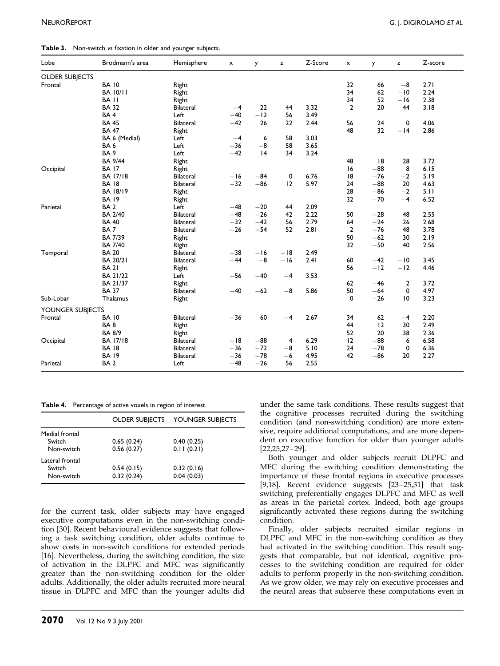<span id="page-5-0"></span>

|  | Table 3. Non-switch vs fixation in older and younger subjects. |  |  |  |  |  |
|--|----------------------------------------------------------------|--|--|--|--|--|
|--|----------------------------------------------------------------|--|--|--|--|--|

| Lobe                  | Brodmann's area  | Hemisphere       | x     | y     | z     | Z-Score | $\boldsymbol{\mathsf{x}}$ | y     | z               | Z-score |
|-----------------------|------------------|------------------|-------|-------|-------|---------|---------------------------|-------|-----------------|---------|
| <b>OLDER SUBJECTS</b> |                  |                  |       |       |       |         |                           |       |                 |         |
| Frontal               | <b>BA 10</b>     | Right            |       |       |       |         | 32                        | 66    | $-8$            | 2.71    |
|                       | <b>BA 10/11</b>  | Right            |       |       |       |         | 34                        | 62    | $-10$           | 2.24    |
|                       | BA <sub>II</sub> | Right            |       |       |       |         | 34                        | 52    | $-16$           | 2.38    |
|                       | <b>BA 32</b>     | Bilateral        | $-4$  | 22    | 44    | 3.32    | $\overline{2}$            | 20    | 44              | 3.18    |
|                       | BA <sub>4</sub>  | Left             | $-40$ | $-12$ | 56    | 3.49    |                           |       |                 |         |
|                       | <b>BA 45</b>     | <b>Bilateral</b> | $-42$ | 26    | 22    | 2.44    | 56                        | 24    | 0               | 4.06    |
|                       | <b>BA 47</b>     | Right            |       |       |       |         | 48                        | 32    | $-14$           | 2.86    |
|                       | BA 6 (Medial)    | Left             | $-4$  | 6     | 58    | 3.03    |                           |       |                 |         |
|                       | BA <sub>6</sub>  | Left             | $-36$ | $-8$  | 58    | 3.65    |                           |       |                 |         |
|                       | BA <sub>9</sub>  | Left             | $-42$ | 4     | 34    | 3.24    |                           |       |                 |         |
|                       | <b>BA 9/44</b>   | Right            |       |       |       |         | 48                        | 8     | 28              | 3.72    |
| Occipital             | <b>BA 17</b>     | Right            |       |       |       |         | 16                        | $-88$ | 8               | 6.15    |
|                       | <b>BA 17/18</b>  | <b>Bilateral</b> | $-16$ | $-84$ | 0     | 6.76    | 8                         | $-76$ | $-2$            | 5.19    |
|                       | <b>BA 18</b>     | <b>Bilateral</b> | $-32$ | $-86$ | 12    | 5.97    | 24                        | $-88$ | 20              | 4.63    |
|                       | <b>BA 18/19</b>  | Right            |       |       |       |         | 28                        | $-86$ | $-2$            | 5.11    |
|                       | <b>BA 19</b>     | Right            |       |       |       |         | 32                        | $-70$ | $-4$            | 6.52    |
| Parietal              | BA <sub>2</sub>  | Left             | $-48$ | $-20$ | 44    | 2.09    |                           |       |                 |         |
|                       | <b>BA 2/40</b>   | <b>Bilateral</b> | $-48$ | $-26$ | 42    | 2.22    | 50                        | $-28$ | 48              | 2.55    |
|                       | <b>BA 40</b>     | <b>Bilateral</b> | $-32$ | $-42$ | 56    | 2.79    | 64                        | $-24$ | 26              | 2.68    |
|                       | BA <sub>7</sub>  | <b>Bilateral</b> | $-26$ | $-54$ | 52    | 2.81    | $\overline{2}$            | $-76$ | 48              | 3.78    |
|                       | BA 7/39          | Right            |       |       |       |         | 50                        | $-62$ | 30              | 2.19    |
|                       | <b>BA 7/40</b>   | Right            |       |       |       |         | 32                        | $-50$ | 40              | 2.56    |
| Temporal              | <b>BA 20</b>     | <b>Bilateral</b> | $-38$ | $-16$ | $-18$ | 2.49    |                           |       |                 |         |
|                       | BA 20/21         | <b>Bilateral</b> | $-44$ | $-8$  | $-16$ | 2.41    | 60                        | $-42$ | $-10$           | 3.45    |
|                       | <b>BA 21</b>     | Right            |       |       |       |         | 56                        | $-12$ | $-12$           | 4.46    |
|                       | BA 21/22         | Left             | $-56$ | $-40$ | $-4$  | 3.53    |                           |       |                 |         |
|                       | BA 21/37         | Right            |       |       |       |         | 62                        | $-46$ | $\overline{2}$  | 3.72    |
|                       | <b>BA 37</b>     | <b>Bilateral</b> | $-40$ | $-62$ | $-8$  | 5.86    | 50                        | $-64$ | 0               | 4.97    |
| Sub-Lobar             | Thalamus         | Right            |       |       |       |         | 0                         | $-26$ | $\overline{10}$ | 3.23    |
| YOUNGER SUBJECTS      |                  |                  |       |       |       |         |                           |       |                 |         |
| Frontal               | <b>BA 10</b>     | <b>Bilateral</b> | $-36$ | 60    | $-4$  | 2.67    | 34                        | 62    | $-4$            | 2.20    |
|                       | BA8              | Right            |       |       |       |         | 44                        | 12    | 30              | 2.49    |
|                       | <b>BA 8/9</b>    | Right            |       |       |       |         | 52                        | 20    | 38              | 2.36    |
| Occipital             | <b>BA 17/18</b>  | <b>Bilateral</b> | $-18$ | $-88$ | 4     | 6.29    | 12                        | $-88$ | 6               | 6.58    |
|                       | <b>BA 18</b>     | <b>Bilateral</b> | $-36$ | $-72$ | $-8$  | 5.10    | 24                        | $-78$ | 0               | 6.36    |
|                       | <b>BA 19</b>     | <b>Bilateral</b> | $-36$ | $-78$ | $-6$  | 4.95    | 42                        | $-86$ | 20              | 2.27    |
| Parietal              | BA <sub>2</sub>  | Left             | $-48$ | $-26$ | 56    | 2.55    |                           |       |                 |         |

|  | Table 4. Percentage of active voxels in region of interest. |
|--|-------------------------------------------------------------|
|--|-------------------------------------------------------------|

|                 | <b>OLDER SUBJECTS</b> | YOUNGER SUBJECTS |
|-----------------|-----------------------|------------------|
| Medial frontal  |                       |                  |
| Switch          | 0.65(0.24)            | 0.40(0.25)       |
| Non-switch      | 0.56(0.27)            | 0.11(0.21)       |
| Lateral frontal |                       |                  |
| Switch          | 0.54(0.15)            | 0.32(0.16)       |
| Non-switch      | 0.32(0.24)            | 0.04(0.03)       |

for the current task, older subjects may have engaged executive computations even in the non-switching condition [\[30\].](#page-6-0) Recent behavioural evidence suggests that following a task switching condition, older adults continue to show costs in non-switch conditions for extended periods [\[16\].](#page-6-0) Nevertheless, during the switching condition, the size of activation in the DLPFC and MFC was significantly greater than the non-switching condition for the older adults. Additionally, the older adults recruited more neural tissue in DLPFC and MFC than the younger adults did

under the same task conditions. These results suggest that the cognitive processes recruited during the switching condition (and non-switching condition) are more extensive, require additional computations, and are more dependent on executive function for older than younger adults [\[22,25,27±29\].](#page-6-0)

Both younger and older subjects recruit DLPFC and MFC during the switching condition demonstrating the importance of these frontal regions in executive processes [\[9,18\].](#page-6-0) Recent evidence suggests  $[23-25,31]$  that task switching preferentially engages DLPFC and MFC as well as areas in the parietal cortex. Indeed, both age groups significantly activated these regions during the switching condition.

Finally, older subjects recruited similar regions in DLPFC and MFC in the non-switching condition as they had activated in the switching condition. This result suggests that comparable, but not identical, cognitive processes to the switching condition are required for older adults to perform properly in the non-switching condition. As we grow older, we may rely on executive processes and the neural areas that subserve these computations even in